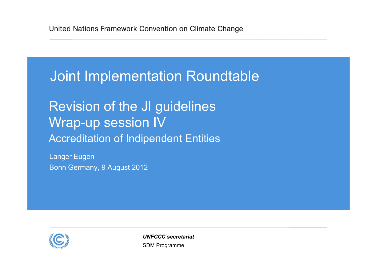## Joint Implementation Roundtable

Revision of the JI guidelines Wrap-up session IV **Accreditation of Indipendent Entities** 

Langer Eugen Bonn Germany, 9 August 2012



SDM Programme *UNFCCC secretariat*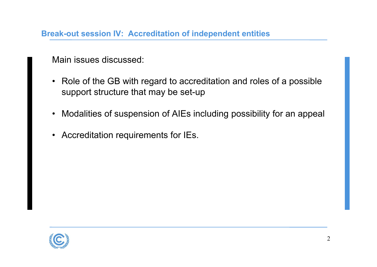**Break-out session IV: Accreditation of independent entities**

Main issues discussed:

- Role of the GB with regard to accreditation and roles of a possible support structure that may be set-up
- •Modalities of suspension of AIEs including possibility for an appeal
- Accreditation requirements for IEs.

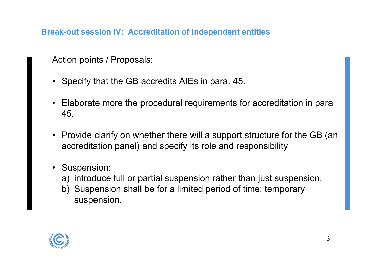**Break-out session IV: Accreditation of independent entities**

Action points / Proposals:

- Specify that the GB accredits AIEs in para. 45.
- • Elaborate more the procedural requirements for accreditation in para 45.
- Provide clarify on whether there will a support structure for the GB (an accreditation panel) and specify its role and responsibility
- Suspension:
	- a) introduce full or partial suspension rather than just suspension.
	- b) Suspension shall be for a limited period of time: temporary suspension.